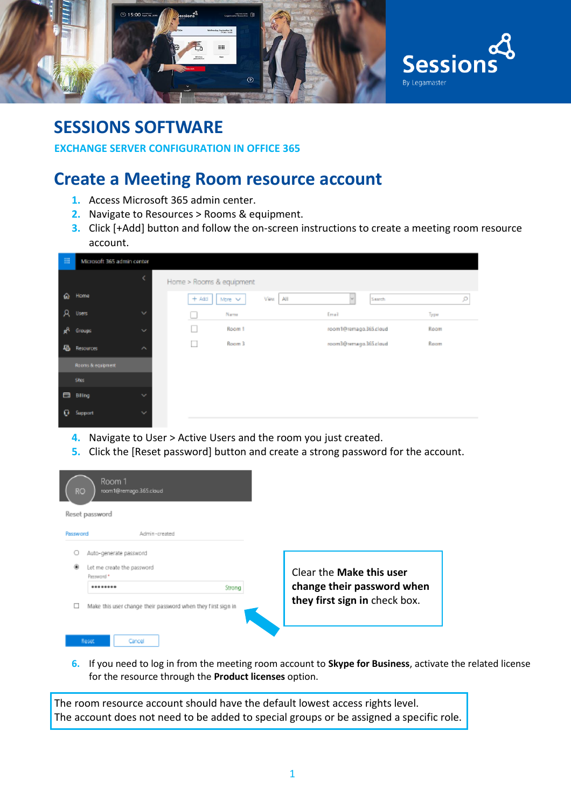

#### **SESSIONS SOFTWARE**

**EXCHANGE SERVER CONFIGURATION IN OFFICE 365**

## **Create a Meeting Room resource account**

- **1.** Access Microsoft 365 admin center.
- **2.** Navigate to Resources > Rooms & equipment.
- **3.** Click [+Add] button and follow the on-screen instructions to create a meeting room resource account.

| 冊        | Microsoft 365 admin center           |                                           |      |
|----------|--------------------------------------|-------------------------------------------|------|
|          | ĸ                                    | Home > Rooms & equipment                  |      |
| $\omega$ | Home                                 | $+444$<br>View<br>AII<br>More V<br>Search | ρ    |
| я        | $\mathcal{L}_{\mathcal{F}}$<br>Users | Name<br>Email<br>L.                       | Тури |
|          | $\sim$<br>Groups                     | room1@remago.365.cloud<br>Room 1<br>L.    | Room |
| 噕        | Resources<br>$\hat{\phantom{a}}$     | Room 3<br>hunia 285 aparroad BEncon<br>ш  | Room |
|          | Rooms & equipment                    |                                           |      |
|          | Stes.                                |                                           |      |
| в        | Billing<br>$\checkmark$              |                                           |      |
| o        | $\checkmark$<br><b>Support</b>       |                                           |      |

- **4.** Navigate to User > Active Users and the room you just created.
- **5.** Click the [Reset password] button and create a strong password for the account.

| Room 1<br>RO.<br>room1@remago.365.cloud                      |        |                               |
|--------------------------------------------------------------|--------|-------------------------------|
| Reset password                                               |        |                               |
| Password<br>Admin-created                                    |        |                               |
| Auto-generate password                                       |        |                               |
| Let me create the password<br>Pessword *                     |        | Clear the Make this user      |
| ********                                                     | Strong | change their password when    |
| Make this user change their password when they first sign in |        | they first sign in check box. |
| <b>Reset</b><br>Cancel                                       |        |                               |

**6.** If you need to log in from the meeting room account to **Skype for Business**, activate the related license for the resource through the **Product licenses** option.

The room resource account should have the default lowest access rights level. The account does not need to be added to special groups or be assigned a specific role.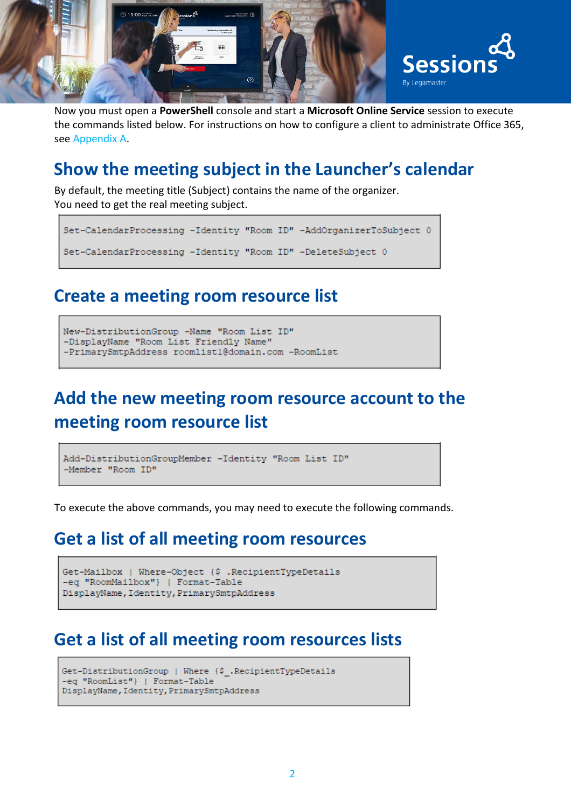

Now you must open a **PowerShell** console and start a **Microsoft Online Service** session to execute the commands listed below. For instructions on how to configure a client to administrate Office 365, see Appendix A.

## **Show the meeting subject in the Launcher's calendar**

By default, the meeting title (Subject) contains the name of the organizer. You need to get the real meeting subject.

```
Set-CalendarProcessing -Identity "Room ID" -AddOrganizerToSubject 0
Set-CalendarProcessing -Identity "Room ID" -DeleteSubject 0
```
#### **Create a meeting room resource list**

```
New-DistributionGroup -Name "Room List ID"
-DisplayName "Room List Friendly Name"
-PrimarySmtpAddress roomlist1@domain.com -RoomList
```
# **Add the new meeting room resource account to the meeting room resource list**

```
Add-DistributionGroupMember -Identity "Room List ID"
-Member "Room ID"
```
To execute the above commands, you may need to execute the following commands.

## **Get a list of all meeting room resources**

```
Get-Mailbox | Where-Object {$ .RecipientTypeDetails
-eq "RoomMailbox"} | Format-Table
DisplayName, Identity, PrimarySmtpAddress
```
## **Get a list of all meeting room resources lists**

```
Get-DistributionGroup | Where {$ .RecipientTypeDetails
-eq "RoomList"} | Format-Table
DisplayName, Identity, PrimarySmtpAddress
```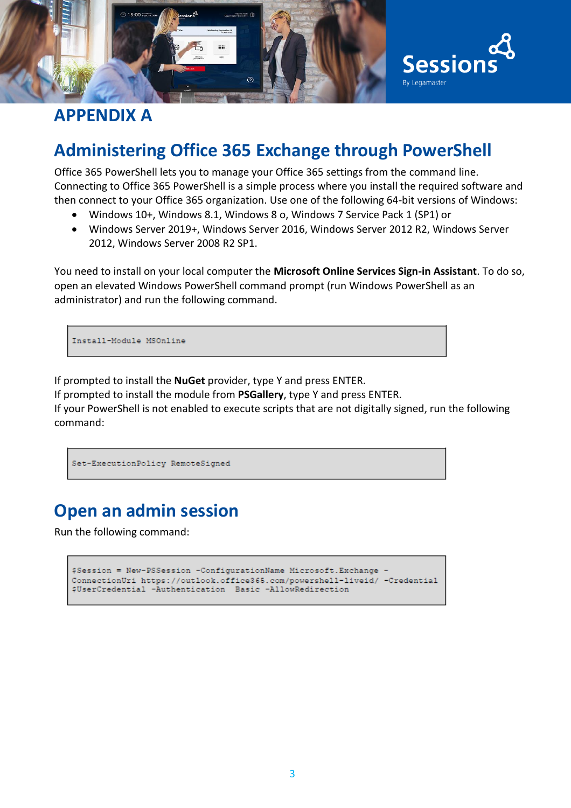

## **APPENDIX A**

# **Administering Office 365 Exchange through PowerShell**

Office 365 PowerShell lets you to manage your Office 365 settings from the command line. Connecting to Office 365 PowerShell is a simple process where you install the required software and then connect to your Office 365 organization. Use one of the following 64-bit versions of Windows:

- Windows 10+, Windows 8.1, Windows 8 o, Windows 7 Service Pack 1 (SP1) or
- Windows Server 2019+, Windows Server 2016, Windows Server 2012 R2, Windows Server 2012, Windows Server 2008 R2 SP1.

You need to install on your local computer the **Microsoft Online Services Sign-in Assistant**. To do so, open an elevated Windows PowerShell command prompt (run Windows PowerShell as an administrator) and run the following command.

Install-Module MSOnline

If prompted to install the **NuGet** provider, type Y and press ENTER.

If prompted to install the module from **PSGallery**, type Y and press ENTER.

If your PowerShell is not enabled to execute scripts that are not digitally signed, run the following command:

Set-ExecutionPolicy RemoteSigned

## **Open an admin session**

Run the following command:

```
$Session = New-PSSession -ConfigurationName Microsoft. Exchange
ConnectionUri https://outlook.office365.com/powershell-liveid/ -Credential
$UserCredential -Authentication Basic -AllowRedirection
```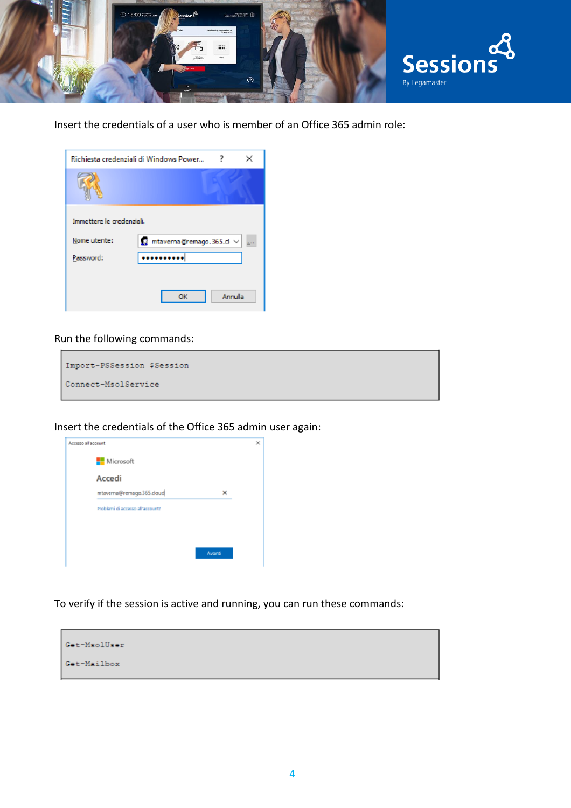

Insert the credentials of a user who is member of an Office 365 admin role:

| Richiesta credenziali di Windows Power<br>× |                                                |  |  |  |  |
|---------------------------------------------|------------------------------------------------|--|--|--|--|
|                                             |                                                |  |  |  |  |
| Immettere le credenziali.                   |                                                |  |  |  |  |
| Nome utente:                                | $\Omega$ mtaverna@remago.365.cl $\vee$<br>in a |  |  |  |  |
| Password:                                   |                                                |  |  |  |  |
|                                             |                                                |  |  |  |  |
|                                             | Annulla<br>OK                                  |  |  |  |  |

#### Run the following commands:

| Import-PSSession \$Session |  |
|----------------------------|--|
| Connect-MsolService        |  |

Insert the credentials of the Office 365 admin user again:

| Accesso all'account |                                 |        | × |
|---------------------|---------------------------------|--------|---|
|                     | Microsoft                       |        |   |
|                     | Accedi                          |        |   |
|                     | mtaverna@remago.365.doud        | ×      |   |
|                     | Problemi di accesso alfaccount? |        |   |
|                     |                                 |        |   |
|                     |                                 |        |   |
|                     |                                 | Awardi |   |
|                     |                                 |        |   |

To verify if the session is active and running, you can run these commands: